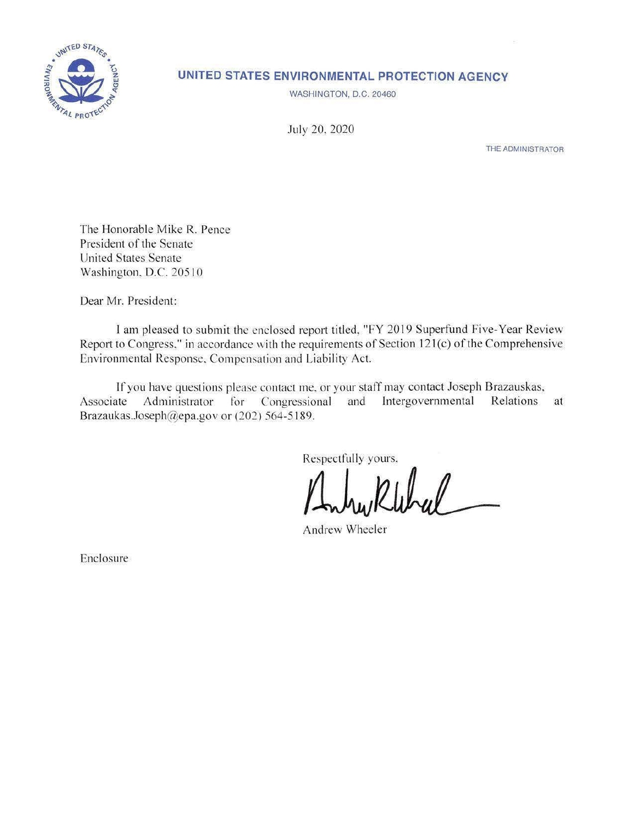

# **UNITED STATES ENVIRONMENTAL PROTECTION AGENCY**

WASHINGTON, D.C. 20460

July 20, 2020

THE ADMINISTRATOR

The Honorable Mike R. Pence President of the Senate United States Senate Washington. D.C. 205 10

Dear Mr. President:

I am pleased to submit the enclosed report titled, "FY 2019 Superfund Five-Year Review Report to Congress." in accordance with the requirements of Section 121(c) of the Comprehensive Environmental Response. Compensation and Liability Act.

If you have questions please contact me. or your staff may contact Joseph Brazauskas, Associate Administrator for Congressional and Intergovernmental Relations at [Brazaukas.Joseph@epa.gov](mailto:Brazaukas.Joseph@epa.gov) or  $(202)$  564-5189.

Respectfully yours.

Andrew Wheeler

Enclosure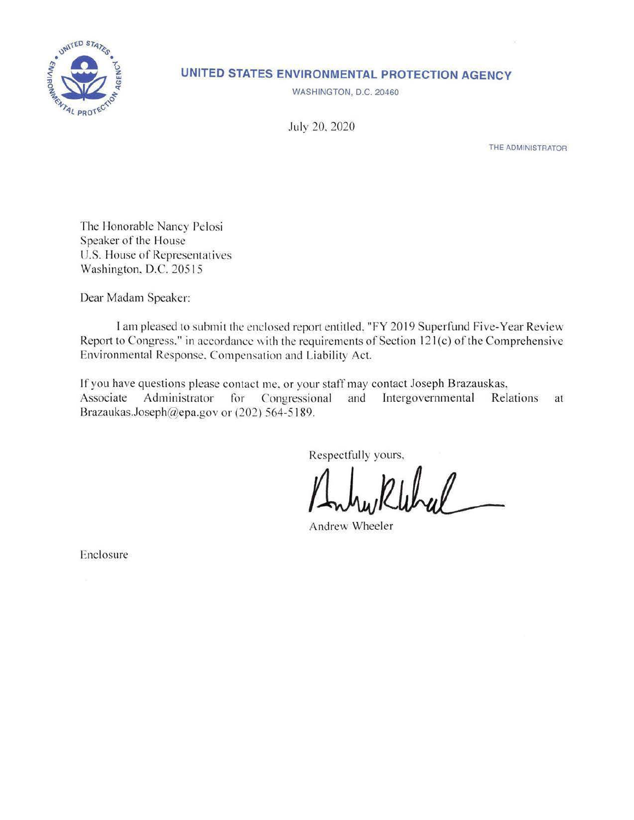

# **UNITED STATES ENVIRONMENTAL PROTECTION AGENCY**

WASHINGTON, D.C. 20460

July 20. 2020

THE **ADMINISTRATOR** 

The Honorable Nancy Pelosi Speaker of the House U.S. House of Representatives Washington, D.C. 20515

Dear Madam Speaker:

I am pleased to submit the enclosed report entitled. "FY 2019 Superfund Five-Year Review Report to Congress," in accordance with the requirements of Section  $121 (c)$  of the Comprehensive Environmental Response, Compensation and Liability Act.

If you have questions please contact me. or your staff may contact Joseph Brazauskas, Associate Administrator for Congressional and Intergovernmental Relations at [Brazaukas.Joseph@epa](mailto:Brazaukas..loseph@epa).gov or (202) 564-5189.

Respectfully yours,

Andrew Klebrel

Enclosure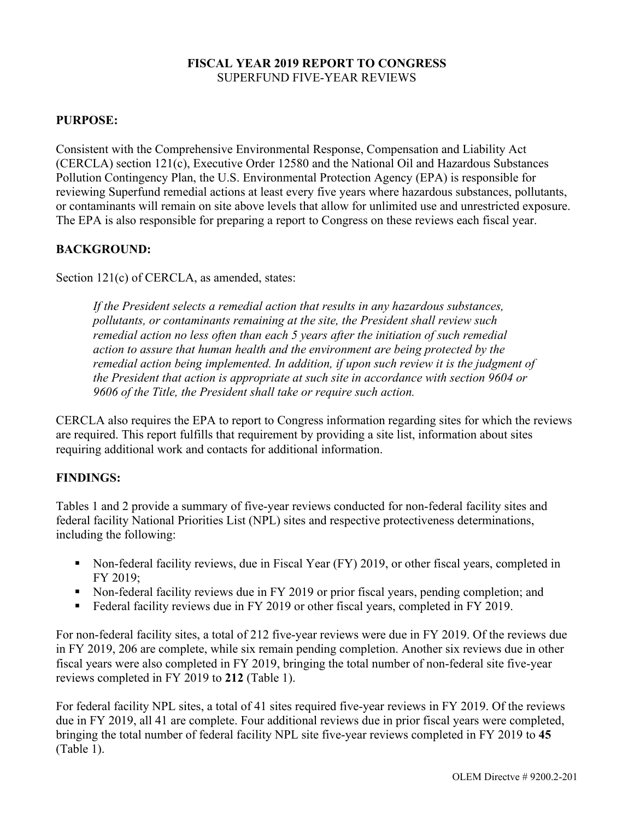#### **FISCAL YEAR 2019 REPORT TO CONGRESS**  SUPERFUND FIVE-YEAR REVIEWS

#### **PURPOSE:**

Consistent with the Comprehensive Environmental Response, Compensation and Liability Act (CERCLA) section 121(c), Executive Order 12580 and the National Oil and Hazardous Substances Pollution Contingency Plan, the U.S. Environmental Protection Agency (EPA) is responsible for reviewing Superfund remedial actions at least every five years where hazardous substances, pollutants, or contaminants will remain on site above levels that allow for unlimited use and unrestricted exposure. The EPA is also responsible for preparing a report to Congress on these reviews each fiscal year.

#### **BACKGROUND:**

Section 121(c) of CERCLA, as amended, states:

*If the President selects a remedial action that results in any hazardous substances, pollutants, or contaminants remaining at the site, the President shall review such remedial action no less often than each 5 years after the initiation of such remedial action to assure that human health and the environment are being protected by the remedial action being implemented. In addition, if upon such review it is the judgment of the President that action is appropriate at such site in accordance with section 9604 or 9606 of the Title, the President shall take or require such action.* 

CERCLA also requires the EPA to report to Congress information regarding sites for which the reviews are required. This report fulfills that requirement by providing a site list, information about sites requiring additional work and contacts for additional information.

# **FINDINGS:**

Tables 1 and 2 provide a summary of five-year reviews conducted for non-federal facility sites and federal facility National Priorities List (NPL) sites and respective protectiveness determinations, including the following:

- Non-federal facility reviews, due in Fiscal Year (FY) 2019, or other fiscal years, completed in FY 2019;
- Non-federal facility reviews due in FY 2019 or prior fiscal years, pending completion; and
- Federal facility reviews due in FY 2019 or other fiscal years, completed in FY 2019.

For non-federal facility sites, a total of 212 five-year reviews were due in FY 2019. Of the reviews due in FY 2019, 206 are complete, while six remain pending completion. Another six reviews due in other fiscal years were also completed in FY 2019, bringing the total number of non-federal site five-year reviews completed in FY 2019 to **212** (Table 1).

For federal facility NPL sites, a total of 41 sites required five-year reviews in FY 2019. Of the reviews due in FY 2019, all 41 are complete. Four additional reviews due in prior fiscal years were completed, bringing the total number of federal facility NPL site five-year reviews completed in FY 2019 to **45**  (Table 1).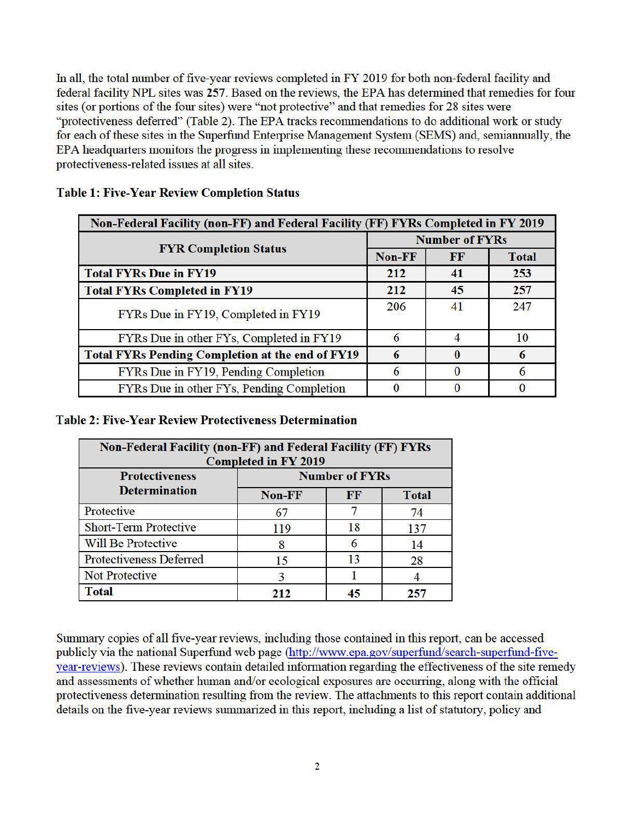In all, the total number of five-year reviews completed in FY 2019 for both non-federal facility and federal facility NPL sites was 257. Based on the reviews, the EPA has determined that remedies for four sites (or portions of the four sites) were "not protective" and that remedies for 28 sites were "protectiveness deferred" (Table 2). The EPA tracks recommendations to do additional work or study for each of these sites in the Superfund Enterprise Management System (SEMS) and, semiannually, the EPA headquarters monitors the progress in implementing these recommendations to resolve protectiveness-related issues at all sites.

| <b>FYR Completion Status</b>                            | <b>Number of FYRs</b> |    |              |  |
|---------------------------------------------------------|-----------------------|----|--------------|--|
|                                                         | Non-FF                | FF | <b>Total</b> |  |
| <b>Total FYRs Due in FY19</b>                           | 212                   | 41 | 253          |  |
| <b>Total FYRs Completed in FY19</b>                     | 212                   | 45 | 257          |  |
| FYRs Due in FY19, Completed in FY19                     | 206                   | 41 | 247          |  |
| FYRs Due in other FYs, Completed in FY19                | 6                     |    | 10           |  |
| <b>Total FYRs Pending Completion at the end of FY19</b> | 6                     |    | 6            |  |
| FYRs Due in FY19, Pending Completion                    | 6                     |    |              |  |
| FYRs Due in other FYs, Pending Completion               |                       |    |              |  |

# **Table 1: Five-Year Review Completion Status**

#### **Table 2: Five-Year Review Protectiveness Determination**

| <b>Non-Federal Facility (non-FF) and Federal Facility (FF) FYRs</b><br><b>Completed in FY 2019</b> |                       |    |              |  |  |  |  |
|----------------------------------------------------------------------------------------------------|-----------------------|----|--------------|--|--|--|--|
| <b>Protectiveness</b>                                                                              | <b>Number of FYRs</b> |    |              |  |  |  |  |
| <b>Determination</b>                                                                               | Non-FF                | FF | <b>Total</b> |  |  |  |  |
| Protective                                                                                         | 67                    |    | 74           |  |  |  |  |
| <b>Short-Term Protective</b>                                                                       | 119                   | 18 | 137          |  |  |  |  |
| <b>Will Be Protective</b>                                                                          |                       |    | 14           |  |  |  |  |
| <b>Protectiveness Deferred</b>                                                                     | 15                    | 13 | 28           |  |  |  |  |
| <b>Not Protective</b>                                                                              | 3                     |    |              |  |  |  |  |
| <b>Total</b>                                                                                       | 212                   | 45 | 257          |  |  |  |  |

Summary copies of all five-year reviews, including those contained in this report, can be accessed publicly via the national Superfund web page (http://www.epa.gov/superfund/search-superfund-fiveyear-reviews). These reviews contain detailed information regarding the effectiveness of the site remedy and assessments of whether human and/or ecological exposures are occurring, along with the official protectiveness determination resulting from the review. The attachments to this report contain additional details on the five-year reviews summarized in this report, including a list of statutory, policy and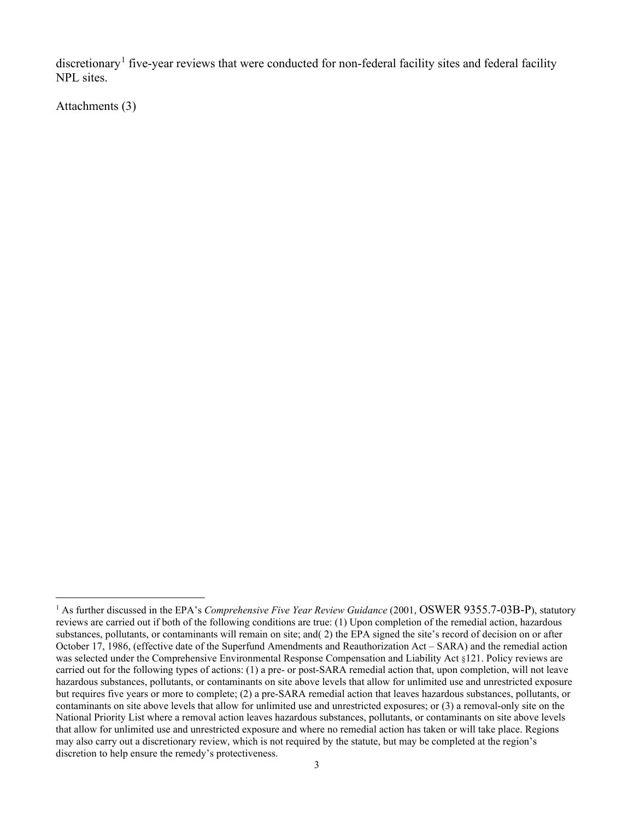discretionary<sup>1</sup> five-year reviews that were conducted for non-federal facility sites and federal facility NPL sites.

Attachments (3)

<sup>&</sup>lt;sup>1</sup> As further discussed in the EPA's *Comprehensive Five Year Review Guidance* (2001, OSWER 9355.7-03B-P), statutory reviews are carried out if both of the following conditions are true: (1) Upon completion of the remedial action, hazardous substances, pollutants, or contaminants will remain on site; and( 2) the EPA signed the site's record of decision on or after October 17, 1986, (effective date of the Superfund Amendments and Reauthorization Act – SARA) and the remedial action was selected under the Comprehensive Environmental Response Compensation and Liability Act §121. Policy reviews are carried out for the following types of actions: (1) a pre- or post-SARA remedial action that, upon completion, will not leave hazardous substances, pollutants, or contaminants on site above levels that allow for unlimited use and unrestricted exposure but requires five years or more to complete; (2) a pre-SARA remedial action that leaves hazardous substances, pollutants, or contaminants on site above levels that allow for unlimited use and unrestricted exposures; or (3) a removal-only site on the National Priority List where a removal action leaves hazardous substances, pollutants, or contaminants on site above levels that allow for unlimited use and unrestricted exposure and where no remedial action has taken or will take place. Regions may also carry out a discretionary review, which is not required by the statute, but may be completed at the region's discretion to help ensure the remedy's protectiveness.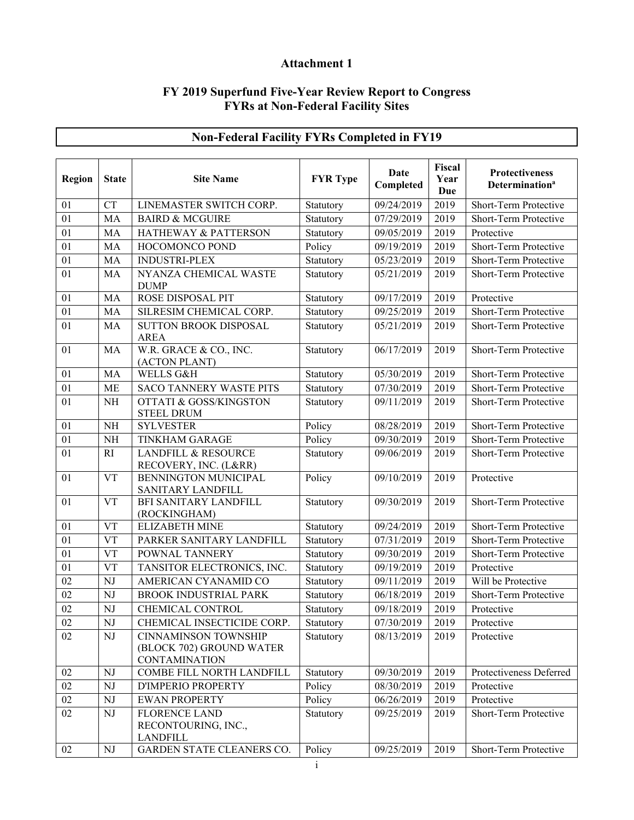# **Attachment 1**

#### **FY 2019 Superfund Five-Year Review Report to Congress FYRs at Non-Federal Facility Sites**

| Region          | <b>State</b>           | <b>Site Name</b>                                                                | <b>FYR</b> Type | Date<br>Completed    | <b>Fiscal</b><br>Year<br><b>Due</b> | Protectiveness<br>Determination <sup>a</sup> |
|-----------------|------------------------|---------------------------------------------------------------------------------|-----------------|----------------------|-------------------------------------|----------------------------------------------|
| 01              | <b>CT</b>              | LINEMASTER SWITCH CORP.                                                         | Statutory       | 09/24/2019           | 2019                                | Short-Term Protective                        |
| 01              | MA                     | <b>BAIRD &amp; MCGUIRE</b>                                                      | Statutory       | 07/29/2019           | 2019                                | Short-Term Protective                        |
| 01              | MA                     | HATHEWAY & PATTERSON                                                            | Statutory       | 09/05/2019           | 2019                                | Protective                                   |
| 01              | MA                     | HOCOMONCO POND                                                                  | Policy          | 09/19/2019           | 2019                                | Short-Term Protective                        |
| 01              | MA                     | <b>INDUSTRI-PLEX</b>                                                            | Statutory       | 05/23/2019           | 2019                                | Short-Term Protective                        |
| 01              | MA                     | NYANZA CHEMICAL WASTE<br><b>DUMP</b>                                            | Statutory       | 05/21/2019           | 2019                                | Short-Term Protective                        |
| 01              | MA                     | ROSE DISPOSAL PIT                                                               | Statutory       | 09/17/2019           | 2019                                | Protective                                   |
| 01              | MA                     | SILRESIM CHEMICAL CORP.                                                         | Statutory       | 09/25/2019           | 2019                                | Short-Term Protective                        |
| 01              | MA                     | <b>SUTTON BROOK DISPOSAL</b><br><b>AREA</b>                                     | Statutory       | 05/21/2019           | 2019                                | Short-Term Protective                        |
| 01              | MA                     | W.R. GRACE & CO., INC.<br>(ACTON PLANT)                                         | Statutory       | 06/17/2019           | 2019                                | Short-Term Protective                        |
| 01              | MA                     | WELLS G&H                                                                       | Statutory       | 05/30/2019           | 2019                                | Short-Term Protective                        |
| 01              | <b>ME</b>              | <b>SACO TANNERY WASTE PITS</b>                                                  | Statutory       | $\frac{07}{30/2019}$ | 2019                                | Short-Term Protective                        |
| 01              | <b>NH</b>              | <b>OTTATI &amp; GOSS/KINGSTON</b><br><b>STEEL DRUM</b>                          | Statutory       | 09/11/2019           | 2019                                | Short-Term Protective                        |
| 01              | <b>NH</b>              | <b>SYLVESTER</b>                                                                | Policy          | 08/28/2019           | 2019                                | Short-Term Protective                        |
| 01              | <b>NH</b>              | <b>TINKHAM GARAGE</b>                                                           | Policy          | 09/30/2019           | 2019                                | Short-Term Protective                        |
| 01              | RI                     | <b>LANDFILL &amp; RESOURCE</b><br>RECOVERY, INC. (L&RR)                         | Statutory       | 09/06/2019           | 2019                                | Short-Term Protective                        |
| 01              | <b>VT</b>              | BENNINGTON MUNICIPAL<br>SANITARY LANDFILL                                       | Policy          | 09/10/2019           | 2019                                | Protective                                   |
| 01              | <b>VT</b>              | BFI SANITARY LANDFILL<br>(ROCKINGHAM)                                           | Statutory       | 09/30/2019           | 2019                                | Short-Term Protective                        |
| 01              | <b>VT</b>              | <b>ELIZABETH MINE</b>                                                           | Statutory       | 09/24/2019           | 2019                                | Short-Term Protective                        |
| 01              | <b>VT</b>              | PARKER SANITARY LANDFILL                                                        | Statutory       | 07/31/2019           | 2019                                | Short-Term Protective                        |
| 01              | <b>VT</b>              | POWNAL TANNERY                                                                  | Statutory       | 09/30/2019           | 2019                                | Short-Term Protective                        |
| 01              | <b>VT</b>              | TANSITOR ELECTRONICS, INC.                                                      | Statutory       | 09/19/2019           | 2019                                | Protective                                   |
| $\overline{02}$ | NJ                     | AMERICAN CYANAMID CO                                                            | Statutory       | 09/11/2019           | 2019                                | Will be Protective                           |
| 02              | NJ                     | <b>BROOK INDUSTRIAL PARK</b>                                                    | Statutory       | 06/18/2019           | 2019                                | Short-Term Protective                        |
| 02              | NJ                     | CHEMICAL CONTROL                                                                | Statutory       | 09/18/2019           | 2019                                | Protective                                   |
| $02\,$          | NJ                     | CHEMICAL INSECTICIDE CORP.                                                      | Statutory       | 07/30/2019           | 2019                                | Protective                                   |
| 02              | $\mathbf{N}\mathbf{J}$ | <b>CINNAMINSON TOWNSHIP</b><br>(BLOCK 702) GROUND WATER<br><b>CONTAMINATION</b> | Statutory       | 08/13/2019           | 2019                                | Protective                                   |
| 02              | NJ                     | COMBE FILL NORTH LANDFILL                                                       | Statutory       | 09/30/2019           | 2019                                | Protectiveness Deferred                      |
| $02\,$          | NJ                     | D'IMPERIO PROPERTY                                                              | Policy          | 08/30/2019           | 2019                                | Protective                                   |
| $02\,$          | NJ                     | <b>EWAN PROPERTY</b>                                                            | Policy          | 06/26/2019           | 2019                                | Protective                                   |
| 02              | NJ                     | <b>FLORENCE LAND</b><br>RECONTOURING, INC.,<br><b>LANDFILL</b>                  | Statutory       | 09/25/2019           | 2019                                | Short-Term Protective                        |
| 02              | ${\rm NJ}$             | GARDEN STATE CLEANERS CO.                                                       | Policy          | 09/25/2019           | 2019                                | Short-Term Protective                        |

# **Non-Federal Facility FYRs Completed in FY19**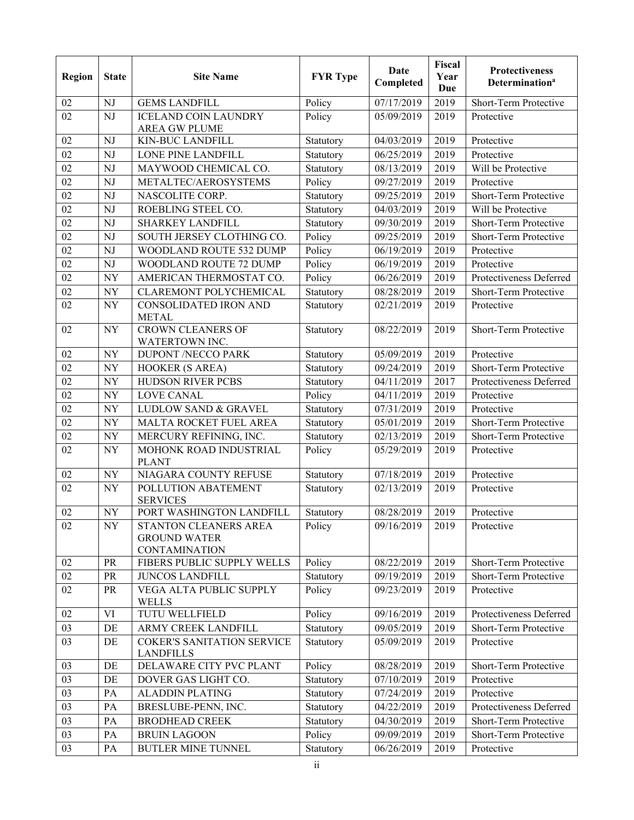| <b>Region</b>   | <b>State</b> | <b>Site Name</b>                                                     | <b>FYR</b> Type | <b>Date</b><br>Completed | Fiscal<br>Year<br>Due | <b>Protectiveness</b><br><b>Determination<sup>a</sup></b> |
|-----------------|--------------|----------------------------------------------------------------------|-----------------|--------------------------|-----------------------|-----------------------------------------------------------|
| 02              | NJ           | <b>GEMS LANDFILL</b>                                                 | Policy          | 07/17/2019               | 2019                  | Short-Term Protective                                     |
| 02              | NJ           | <b>ICELAND COIN LAUNDRY</b><br><b>AREA GW PLUME</b>                  | Policy          | 05/09/2019               | 2019                  | Protective                                                |
| 02              | NJ           | <b>KIN-BUC LANDFILL</b>                                              | Statutory       | 04/03/2019               | 2019                  | Protective                                                |
| 02              | NJ           | LONE PINE LANDFILL                                                   | Statutory       | 06/25/2019               | 2019                  | Protective                                                |
| 02              | NJ           | MAYWOOD CHEMICAL CO.                                                 | Statutory       | 08/13/2019               | 2019                  | Will be Protective                                        |
| 02              | NJ           | METALTEC/AEROSYSTEMS                                                 | Policy          | $\overline{09}/27/2019$  | 2019                  | Protective                                                |
| 02              | NJ           | NASCOLITE CORP.                                                      | Statutory       | 09/25/2019               | 2019                  | Short-Term Protective                                     |
| 02              | NJ           | ROEBLING STEEL CO.                                                   | Statutory       | 04/03/2019               | 2019                  | Will be Protective                                        |
| 02              | NJ           | <b>SHARKEY LANDFILL</b>                                              | Statutory       | 09/30/2019               | 2019                  | Short-Term Protective                                     |
| 02              | NJ           | SOUTH JERSEY CLOTHING CO.                                            | Policy          | 09/25/2019               | 2019                  | Short-Term Protective                                     |
| 02              | NJ           | WOODLAND ROUTE 532 DUMP                                              | Policy          | 06/19/2019               | 2019                  | Protective                                                |
| 02              | NJ           | WOODLAND ROUTE 72 DUMP                                               | Policy          | 06/19/2019               | 2019                  | Protective                                                |
| 02              | <b>NY</b>    | AMERICAN THERMOSTAT CO.                                              | Policy          | 06/26/2019               | 2019                  | Protectiveness Deferred                                   |
| $\overline{02}$ | <b>NY</b>    | CLAREMONT POLYCHEMICAL                                               | Statutory       | 08/28/2019               | 2019                  | Short-Term Protective                                     |
| 02              | <b>NY</b>    | CONSOLIDATED IRON AND<br><b>METAL</b>                                | Statutory       | 02/21/2019               | 2019                  | Protective                                                |
| 02              | <b>NY</b>    | <b>CROWN CLEANERS OF</b><br>WATERTOWN INC.                           | Statutory       | 08/22/2019               | 2019                  | Short-Term Protective                                     |
| 02              | <b>NY</b>    | <b>DUPONT /NECCO PARK</b>                                            | Statutory       | 05/09/2019               | 2019                  | Protective                                                |
| 02              | <b>NY</b>    | HOOKER (S AREA)                                                      | Statutory       | 09/24/2019               | 2019                  | Short-Term Protective                                     |
| 02              | <b>NY</b>    | <b>HUDSON RIVER PCBS</b>                                             | Statutory       | 04/11/2019               | 2017                  | Protectiveness Deferred                                   |
| 02              | <b>NY</b>    | <b>LOVE CANAL</b>                                                    | Policy          | 04/11/2019               | 2019                  | Protective                                                |
| 02              | <b>NY</b>    | <b>LUDLOW SAND &amp; GRAVEL</b>                                      | Statutory       | 07/31/2019               | 2019                  | Protective                                                |
| 02              | NY           | MALTA ROCKET FUEL AREA                                               | Statutory       | 05/01/2019               | 2019                  | Short-Term Protective                                     |
| 02              | NY           | MERCURY REFINING, INC.                                               | Statutory       | 02/13/2019               | 2019                  | Short-Term Protective                                     |
| 02              | <b>NY</b>    | MOHONK ROAD INDUSTRIAL<br><b>PLANT</b>                               | Policy          | 05/29/2019               | 2019                  | Protective                                                |
| 02              | <b>NY</b>    | NIAGARA COUNTY REFUSE                                                | Statutory       | 07/18/2019               | 2019                  | Protective                                                |
| 02              | <b>NY</b>    | POLLUTION ABATEMENT<br><b>SERVICES</b>                               | Statutory       | 02/13/2019               | 2019                  | Protective                                                |
| 02              | <b>NY</b>    | PORT WASHINGTON LANDFILL                                             | Statutory       | 08/28/2019               | 2019                  | Protective                                                |
| 02              | NY           | STANTON CLEANERS AREA<br><b>GROUND WATER</b><br><b>CONTAMINATION</b> | Policy          | 09/16/2019               | 2019                  | Protective                                                |
| 02              | <b>PR</b>    | FIBERS PUBLIC SUPPLY WELLS                                           | Policy          | 08/22/2019               | 2019                  | Short-Term Protective                                     |
| 02              | PR           | <b>JUNCOS LANDFILL</b>                                               | Statutory       | 09/19/2019               | 2019                  | Short-Term Protective                                     |
| 02              | PR           | VEGA ALTA PUBLIC SUPPLY<br><b>WELLS</b>                              | Policy          | 09/23/2019               | 2019                  | Protective                                                |
| 02              | VI           | TUTU WELLFIELD                                                       | Policy          | 09/16/2019               | 2019                  | Protectiveness Deferred                                   |
| 03              | DE           | ARMY CREEK LANDFILL                                                  | Statutory       | 09/05/2019               | 2019                  | Short-Term Protective                                     |
| 03              | DE           | <b>COKER'S SANITATION SERVICE</b><br><b>LANDFILLS</b>                | Statutory       | 05/09/2019               | 2019                  | Protective                                                |
| 03              | DE           | DELAWARE CITY PVC PLANT                                              | Policy          | 08/28/2019               | 2019                  | Short-Term Protective                                     |
| 03              | DE           | DOVER GAS LIGHT CO.                                                  | Statutory       | 07/10/2019               | 2019                  | Protective                                                |
| 03              | PA           | <b>ALADDIN PLATING</b>                                               | Statutory       | 07/24/2019               | 2019                  | Protective                                                |
| 03              | PA           | BRESLUBE-PENN, INC.                                                  | Statutory       | 04/22/2019               | 2019                  | Protectiveness Deferred                                   |
| 03              | PA           | <b>BRODHEAD CREEK</b>                                                | Statutory       | 04/30/2019               | 2019                  | Short-Term Protective                                     |
| 03              | PA           | <b>BRUIN LAGOON</b>                                                  | Policy          | 09/09/2019               | 2019                  | Short-Term Protective                                     |
| 03              | PA           | <b>BUTLER MINE TUNNEL</b>                                            | Statutory       | 06/26/2019               | 2019                  | Protective                                                |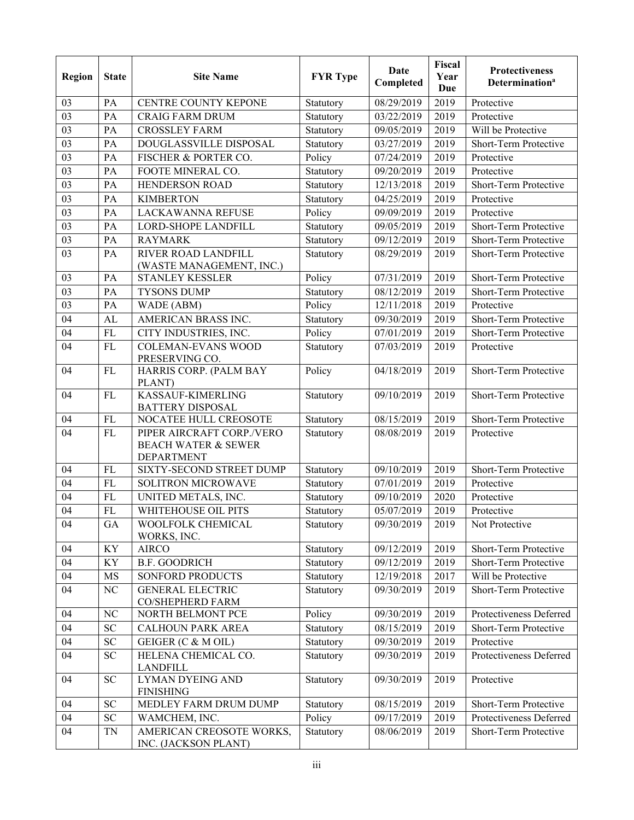| Region          | <b>State</b> | <b>Site Name</b>                                                                 | <b>FYR</b> Type | Date<br>Completed | Fiscal<br>Year<br>Due | <b>Protectiveness</b><br><b>Determination</b> <sup>a</sup> |
|-----------------|--------------|----------------------------------------------------------------------------------|-----------------|-------------------|-----------------------|------------------------------------------------------------|
| 03              | PA           | CENTRE COUNTY KEPONE                                                             | Statutory       | 08/29/2019        | 2019                  | Protective                                                 |
| 03              | PA           | <b>CRAIG FARM DRUM</b>                                                           | Statutory       | 03/22/2019        | 2019                  | Protective                                                 |
| $\overline{03}$ | PA           | <b>CROSSLEY FARM</b>                                                             | Statutory       | 09/05/2019        | 2019                  | Will be Protective                                         |
| 03              | PA           | DOUGLASSVILLE DISPOSAL                                                           | Statutory       | 03/27/2019        | 2019                  | Short-Term Protective                                      |
| 03              | PA           | FISCHER & PORTER CO.                                                             | Policy          | 07/24/2019        | 2019                  | Protective                                                 |
| 03              | PA           | FOOTE MINERAL CO.                                                                | Statutory       | 09/20/2019        | 2019                  | Protective                                                 |
| 03              | PA           | <b>HENDERSON ROAD</b>                                                            | Statutory       | 12/13/2018        | 2019                  | Short-Term Protective                                      |
| 03              | PA           | <b>KIMBERTON</b>                                                                 | Statutory       | 04/25/2019        | 2019                  | Protective                                                 |
| 03              | PA           | <b>LACKAWANNA REFUSE</b>                                                         | Policy          | 09/09/2019        | 2019                  | Protective                                                 |
| 03              | PA           | <b>LORD-SHOPE LANDFILL</b>                                                       | Statutory       | 09/05/2019        | 2019                  | Short-Term Protective                                      |
| 03              | PA           | <b>RAYMARK</b>                                                                   | Statutory       | 09/12/2019        | 2019                  | Short-Term Protective                                      |
| 03              | PA           | RIVER ROAD LANDFILL<br>(WASTE MANAGEMENT, INC.)                                  | Statutory       | 08/29/2019        | 2019                  | Short-Term Protective                                      |
| 03              | PA           | <b>STANLEY KESSLER</b>                                                           | Policy          | 07/31/2019        | 2019                  | Short-Term Protective                                      |
| 03              | PA           | <b>TYSONS DUMP</b>                                                               | Statutory       | 08/12/2019        | 2019                  | Short-Term Protective                                      |
| 03              | PA           | WADE (ABM)                                                                       | Policy          | 12/11/2018        | 2019                  | Protective                                                 |
| 04              | AL           | AMERICAN BRASS INC.                                                              | Statutory       | 09/30/2019        | 2019                  | Short-Term Protective                                      |
| 04              | <b>FL</b>    | CITY INDUSTRIES, INC.                                                            | Policy          | 07/01/2019        | 2019                  | Short-Term Protective                                      |
| 04              | <b>FL</b>    | <b>COLEMAN-EVANS WOOD</b><br>PRESERVING CO.                                      | Statutory       | 07/03/2019        | 2019                  | Protective                                                 |
| 04              | FL           | HARRIS CORP. (PALM BAY<br>PLANT)                                                 | Policy          | 04/18/2019        | 2019                  | Short-Term Protective                                      |
| 04              | FL           | KASSAUF-KIMERLING<br><b>BATTERY DISPOSAL</b>                                     | Statutory       | 09/10/2019        | 2019                  | Short-Term Protective                                      |
| 04              | <b>FL</b>    | NOCATEE HULL CREOSOTE                                                            | Statutory       | 08/15/2019        | 2019                  | Short-Term Protective                                      |
| 04              | FL           | PIPER AIRCRAFT CORP./VERO<br><b>BEACH WATER &amp; SEWER</b><br><b>DEPARTMENT</b> | Statutory       | 08/08/2019        | 2019                  | Protective                                                 |
| 04              | <b>FL</b>    | SIXTY-SECOND STREET DUMP                                                         | Statutory       | 09/10/2019        | 2019                  | Short-Term Protective                                      |
| 04              | <b>FL</b>    | SOLITRON MICROWAVE                                                               | Statutory       | 07/01/2019        | 2019                  | Protective                                                 |
| 04              | <b>FL</b>    | UNITED METALS, INC.                                                              | Statutory       | 09/10/2019        | 2020                  | Protective                                                 |
| 04              | FL           | WHITEHOUSE OIL PITS                                                              | Statutory       | 05/07/2019        | 2019                  | Protective                                                 |
| 04              | GA           | WOOLFOLK CHEMICAL<br>WORKS, INC.                                                 | Statutory       | 09/30/2019        | 2019                  | Not Protective                                             |
| 04              | KY           | <b>AIRCO</b>                                                                     | Statutory       | 09/12/2019        | 2019                  | Short-Term Protective                                      |
| 04              | KY           | <b>B.F. GOODRICH</b>                                                             | Statutory       | 09/12/2019        | 2019                  | Short-Term Protective                                      |
| 04              | MS           | SONFORD PRODUCTS                                                                 | Statutory       | 12/19/2018        | 2017                  | Will be Protective                                         |
| 04              | NC           | <b>GENERAL ELECTRIC</b><br>CO/SHEPHERD FARM                                      | Statutory       | 09/30/2019        | 2019                  | Short-Term Protective                                      |
| 04              | NC           | NORTH BELMONT PCE                                                                | Policy          | 09/30/2019        | 2019                  | Protectiveness Deferred                                    |
| 04              | ${\rm SC}$   | <b>CALHOUN PARK AREA</b>                                                         | Statutory       | 08/15/2019        | 2019                  | Short-Term Protective                                      |
| 04              | ${\rm SC}$   | GEIGER (C & M OIL)                                                               | Statutory       | 09/30/2019        | 2019                  | Protective                                                 |
| 04              | SC           | HELENA CHEMICAL CO.<br><b>LANDFILL</b>                                           | Statutory       | 09/30/2019        | 2019                  | Protectiveness Deferred                                    |
| 04              | <b>SC</b>    | LYMAN DYEING AND<br><b>FINISHING</b>                                             | Statutory       | 09/30/2019        | 2019                  | Protective                                                 |
| 04              | <b>SC</b>    | MEDLEY FARM DRUM DUMP                                                            | Statutory       | 08/15/2019        | 2019                  | Short-Term Protective                                      |
| 04              | ${\rm SC}$   | WAMCHEM, INC.                                                                    | Policy          | 09/17/2019        | 2019                  | Protectiveness Deferred                                    |
| 04              | <b>TN</b>    | AMERICAN CREOSOTE WORKS,<br>INC. (JACKSON PLANT)                                 | Statutory       | 08/06/2019        | 2019                  | Short-Term Protective                                      |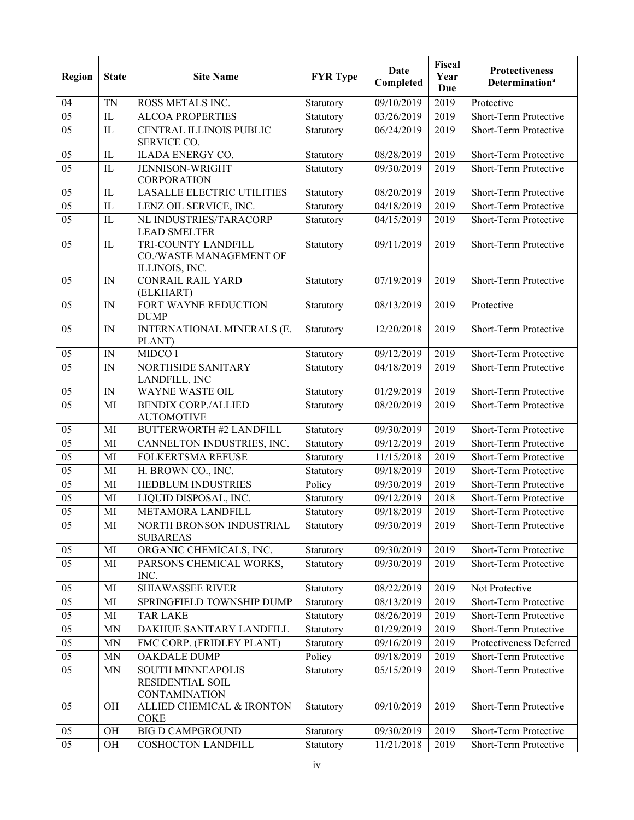| <b>Region</b> | <b>State</b> | <b>Site Name</b>                                                 | <b>FYR</b> Type | Date<br>Completed | Fiscal<br>Year<br>Due | <b>Protectiveness</b><br><b>Determination</b> <sup>a</sup> |
|---------------|--------------|------------------------------------------------------------------|-----------------|-------------------|-----------------------|------------------------------------------------------------|
| 04            | <b>TN</b>    | ROSS METALS INC.                                                 | Statutory       | 09/10/2019        | 2019                  | Protective                                                 |
| 05            | IL           | <b>ALCOA PROPERTIES</b>                                          | Statutory       | 03/26/2019        | 2019                  | Short-Term Protective                                      |
| 05            | IL           | <b>CENTRAL ILLINOIS PUBLIC</b><br>SERVICE CO.                    | Statutory       | 06/24/2019        | 2019                  | Short-Term Protective                                      |
| 05            | IL           | <b>ILADA ENERGY CO.</b>                                          | Statutory       | 08/28/2019        | 2019                  | Short-Term Protective                                      |
| 05            | IL           | <b>JENNISON-WRIGHT</b><br>CORPORATION                            | Statutory       | 09/30/2019        | 2019                  | Short-Term Protective                                      |
| 05            | IL           | <b>LASALLE ELECTRIC UTILITIES</b>                                | Statutory       | 08/20/2019        | 2019                  | Short-Term Protective                                      |
| 05            | IL           | LENZ OIL SERVICE, INC.                                           | Statutory       | 04/18/2019        | 2019                  | Short-Term Protective                                      |
| 05            | IL           | NL INDUSTRIES/TARACORP<br><b>LEAD SMELTER</b>                    | Statutory       | 04/15/2019        | 2019                  | Short-Term Protective                                      |
| 05            | IL           | TRI-COUNTY LANDFILL<br>CO./WASTE MANAGEMENT OF<br>ILLINOIS, INC. | Statutory       | 09/11/2019        | 2019                  | Short-Term Protective                                      |
| 05            | IN           | <b>CONRAIL RAIL YARD</b><br>(ELKHART)                            | Statutory       | 07/19/2019        | 2019                  | Short-Term Protective                                      |
| 05            | IN           | FORT WAYNE REDUCTION<br><b>DUMP</b>                              | Statutory       | 08/13/2019        | 2019                  | Protective                                                 |
| 05            | IN           | INTERNATIONAL MINERALS (E.<br>PLANT)                             | Statutory       | 12/20/2018        | 2019                  | Short-Term Protective                                      |
| 05            | IN           | MIDCO I                                                          | Statutory       | 09/12/2019        | 2019                  | Short-Term Protective                                      |
| 05            | IN           | NORTHSIDE SANITARY<br>LANDFILL, INC                              | Statutory       | 04/18/2019        | 2019                  | Short-Term Protective                                      |
| 05            | IN           | <b>WAYNE WASTE OIL</b>                                           | Statutory       | 01/29/2019        | 2019                  | Short-Term Protective                                      |
| 05            | MI           | <b>BENDIX CORP./ALLIED</b><br><b>AUTOMOTIVE</b>                  | Statutory       | 08/20/2019        | 2019                  | Short-Term Protective                                      |
| 05            | MI           | <b>BUTTERWORTH #2 LANDFILL</b>                                   | Statutory       | 09/30/2019        | 2019                  | Short-Term Protective                                      |
| 05            | MI           | CANNELTON INDUSTRIES, INC.                                       | Statutory       | 09/12/2019        | 2019                  | Short-Term Protective                                      |
| 05            | MI           | <b>FOLKERTSMA REFUSE</b>                                         | Statutory       | 11/15/2018        | 2019                  | Short-Term Protective                                      |
| 05            | MI           | H. BROWN CO., INC.                                               | Statutory       | 09/18/2019        | 2019                  | Short-Term Protective                                      |
| 05            | MI           | <b>HEDBLUM INDUSTRIES</b>                                        | Policy          | 09/30/2019        | 2019                  | Short-Term Protective                                      |
| 05            | MI           | LIQUID DISPOSAL, INC.                                            | Statutory       | 09/12/2019        | 2018                  | Short-Term Protective                                      |
| 05            | MI           | METAMORA LANDFILL                                                | Statutory       | 09/18/2019        | 2019                  | Short-Term Protective                                      |
| 05            | MI           | NORTH BRONSON INDUSTRIAL<br><b>SUBAREAS</b>                      | Statutory       | 09/30/2019        | 2019                  | Short-Term Protective                                      |
| 05            | MI           | ORGANIC CHEMICALS, INC.                                          | Statutory       | 09/30/2019        | 2019                  | Short-Term Protective                                      |
| 05            | MI           | PARSONS CHEMICAL WORKS,<br>INC.                                  | Statutory       | 09/30/2019        | 2019                  | Short-Term Protective                                      |
| 05            | MI           | <b>SHIAWASSEE RIVER</b>                                          | Statutory       | 08/22/2019        | 2019                  | Not Protective                                             |
| 05            | MI           | SPRINGFIELD TOWNSHIP DUMP                                        | Statutory       | 08/13/2019        | 2019                  | Short-Term Protective                                      |
| 05            | MI           | <b>TAR LAKE</b>                                                  | Statutory       | 08/26/2019        | 2019                  | Short-Term Protective                                      |
| 05            | MN           | DAKHUE SANITARY LANDFILL                                         | Statutory       | 01/29/2019        | 2019                  | Short-Term Protective                                      |
| 05            | MN           | FMC CORP. (FRIDLEY PLANT)                                        | Statutory       | 09/16/2019        | 2019                  | Protectiveness Deferred                                    |
| 05            | MN           | OAKDALE DUMP                                                     | Policy          | 09/18/2019        | 2019                  | Short-Term Protective                                      |
| 05            | MN           | SOUTH MINNEAPOLIS<br>RESIDENTIAL SOIL<br><b>CONTAMINATION</b>    | Statutory       | 05/15/2019        | 2019                  | Short-Term Protective                                      |
| 05            | OH           | ALLIED CHEMICAL & IRONTON<br><b>COKE</b>                         | Statutory       | 09/10/2019        | 2019                  | Short-Term Protective                                      |
| 05            | OH           | <b>BIG D CAMPGROUND</b>                                          | Statutory       | 09/30/2019        | 2019                  | Short-Term Protective                                      |
| 05            | OH           | <b>COSHOCTON LANDFILL</b>                                        | Statutory       | 11/21/2018        | 2019                  | Short-Term Protective                                      |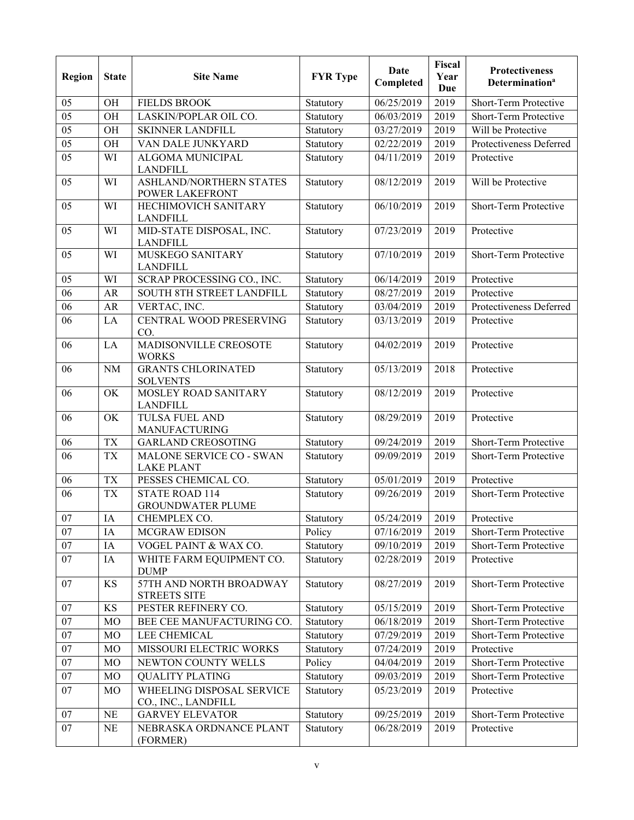| Region          | <b>State</b> | <b>Site Name</b>                                  | <b>FYR</b> Type | Date<br>Completed    | Fiscal<br>Year<br>Due | <b>Protectiveness</b><br><b>Determination<sup>a</sup></b> |
|-----------------|--------------|---------------------------------------------------|-----------------|----------------------|-----------------------|-----------------------------------------------------------|
| 05              | OH           | <b>FIELDS BROOK</b>                               | Statutory       | 06/25/2019           | 2019                  | Short-Term Protective                                     |
| 05              | OH           | LASKIN/POPLAR OIL CO.                             | Statutory       | 06/03/2019           | 2019                  | Short-Term Protective                                     |
| $\overline{05}$ | OH           | <b>SKINNER LANDFILL</b>                           | Statutory       | $\frac{03}{27}/2019$ | 2019                  | Will be Protective                                        |
| 05              | OH           | VAN DALE JUNKYARD                                 | Statutory       | 02/22/2019           | 2019                  | Protectiveness Deferred                                   |
| 05              | WI           | ALGOMA MUNICIPAL<br><b>LANDFILL</b>               | Statutory       | 04/11/2019           | 2019                  | Protective                                                |
| 05              | WI           | ASHLAND/NORTHERN STATES<br><b>POWER LAKEFRONT</b> | Statutory       | 08/12/2019           | 2019                  | Will be Protective                                        |
| 05              | WI           | HECHIMOVICH SANITARY<br><b>LANDFILL</b>           | Statutory       | 06/10/2019           | 2019                  | Short-Term Protective                                     |
| 05              | WI           | MID-STATE DISPOSAL, INC.<br><b>LANDFILL</b>       | Statutory       | 07/23/2019           | 2019                  | Protective                                                |
| 05              | WI           | MUSKEGO SANITARY<br><b>LANDFILL</b>               | Statutory       | 07/10/2019           | 2019                  | Short-Term Protective                                     |
| 05              | WI           | SCRAP PROCESSING CO., INC.                        | Statutory       | 06/14/2019           | 2019                  | Protective                                                |
| 06              | <b>AR</b>    | SOUTH 8TH STREET LANDFILL                         | Statutory       | 08/27/2019           | 2019                  | Protective                                                |
| 06              | AR           | VERTAC, INC.                                      | Statutory       | 03/04/2019           | 2019                  | Protectiveness Deferred                                   |
| 06              | LA           | CENTRAL WOOD PRESERVING<br>CO.                    | Statutory       | 03/13/2019           | 2019                  | Protective                                                |
| 06              | LA           | MADISONVILLE CREOSOTE<br><b>WORKS</b>             | Statutory       | 04/02/2019           | 2019                  | Protective                                                |
| 06              | $\rm NM$     | <b>GRANTS CHLORINATED</b><br><b>SOLVENTS</b>      | Statutory       | 05/13/2019           | 2018                  | Protective                                                |
| 06              | OK           | MOSLEY ROAD SANITARY<br><b>LANDFILL</b>           | Statutory       | 08/12/2019           | 2019                  | Protective                                                |
| 06              | OK           | TULSA FUEL AND<br>MANUFACTURING                   | Statutory       | 08/29/2019           | 2019                  | Protective                                                |
| 06              | <b>TX</b>    | <b>GARLAND CREOSOTING</b>                         | Statutory       | 09/24/2019           | 2019                  | Short-Term Protective                                     |
| 06              | <b>TX</b>    | MALONE SERVICE CO - SWAN<br><b>LAKE PLANT</b>     | Statutory       | 09/09/2019           | 2019                  | Short-Term Protective                                     |
| 06              | <b>TX</b>    | PESSES CHEMICAL CO.                               | Statutory       | 05/01/2019           | 2019                  | Protective                                                |
| 06              | <b>TX</b>    | <b>STATE ROAD 114</b><br><b>GROUNDWATER PLUME</b> | Statutory       | 09/26/2019           | 2019                  | Short-Term Protective                                     |
| 07              | IA           | CHEMPLEX CO.                                      | Statutory       | 05/24/2019           | 2019                  | Protective                                                |
| 07              | IA           | MCGRAW EDISON                                     | Policy          | 07/16/2019           | 2019                  | Short-Term Protective                                     |
| 07              | IA           | VOGEL PAINT & WAX CO.                             | Statutory       | 09/10/2019           | 2019                  | Short-Term Protective                                     |
| 07              | IA           | WHITE FARM EQUIPMENT CO.<br><b>DUMP</b>           | Statutory       | 02/28/2019           | 2019                  | Protective                                                |
| 07              | KS           | 57TH AND NORTH BROADWAY<br><b>STREETS SITE</b>    | Statutory       | 08/27/2019           | 2019                  | Short-Term Protective                                     |
| 07              | KS           | PESTER REFINERY CO.                               | Statutory       | 05/15/2019           | 2019                  | Short-Term Protective                                     |
| 07              | MO           | BEE CEE MANUFACTURING CO.                         | Statutory       | 06/18/2019           | 2019                  | Short-Term Protective                                     |
| 07              | MO           | LEE CHEMICAL                                      | Statutory       | 07/29/2019           | 2019                  | Short-Term Protective                                     |
| 07              | MO           | MISSOURI ELECTRIC WORKS                           | Statutory       | 07/24/2019           | 2019                  | Protective                                                |
| 07              | MO           | NEWTON COUNTY WELLS                               | Policy          | 04/04/2019           | 2019                  | Short-Term Protective                                     |
| $\overline{07}$ | MO           | <b>QUALITY PLATING</b>                            | Statutory       | 09/03/2019           | 2019                  | Short-Term Protective                                     |
| 07              | MO           | WHEELING DISPOSAL SERVICE<br>CO., INC., LANDFILL  | Statutory       | 05/23/2019           | 2019                  | Protective                                                |
| 07              | NE           | <b>GARVEY ELEVATOR</b>                            | Statutory       | 09/25/2019           | 2019                  | Short-Term Protective                                     |
| 07              | NE           | NEBRASKA ORDNANCE PLANT<br>(FORMER)               | Statutory       | 06/28/2019           | 2019                  | Protective                                                |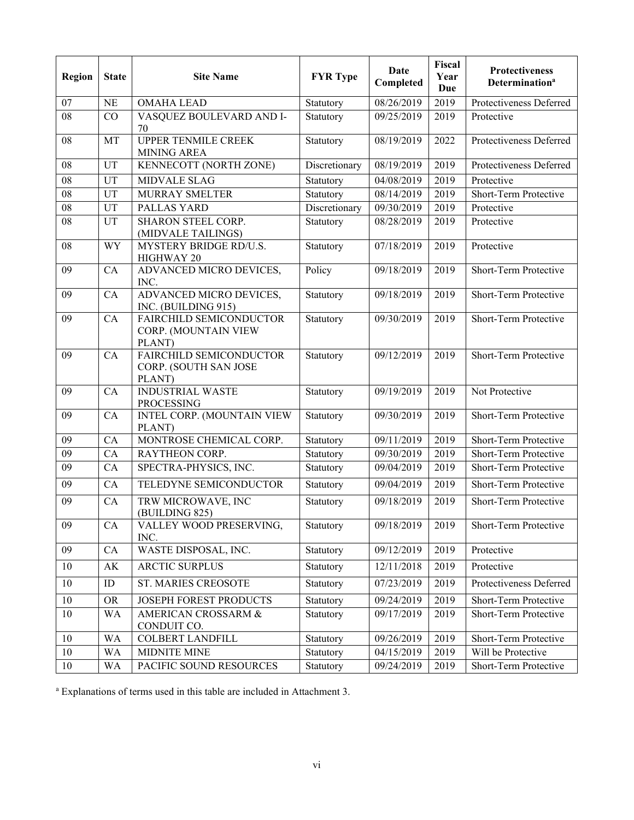| Region          | <b>State</b> | <b>Site Name</b>                                           | <b>FYR</b> Type | Date<br>Completed | Fiscal<br>Year<br><b>Due</b> | <b>Protectiveness</b><br>Determination <sup>a</sup> |
|-----------------|--------------|------------------------------------------------------------|-----------------|-------------------|------------------------------|-----------------------------------------------------|
| 07              | <b>NE</b>    | <b>OMAHA LEAD</b>                                          | Statutory       | 08/26/2019        | 2019                         | Protectiveness Deferred                             |
| 08              | CO           | VASQUEZ BOULEVARD AND I-<br>70                             | Statutory       | 09/25/2019        | 2019                         | Protective                                          |
| 08              | MT           | <b>UPPER TENMILE CREEK</b><br><b>MINING AREA</b>           | Statutory       | 08/19/2019        | 2022                         | Protectiveness Deferred                             |
| 08              | UT           | KENNECOTT (NORTH ZONE)                                     | Discretionary   | 08/19/2019        | 2019                         | Protectiveness Deferred                             |
| 08              | UT           | <b>MIDVALE SLAG</b>                                        | Statutory       | 04/08/2019        | 2019                         | Protective                                          |
| $\overline{08}$ | UT           | <b>MURRAY SMELTER</b>                                      | Statutory       | 08/14/2019        | 2019                         | Short-Term Protective                               |
| 08              | <b>UT</b>    | PALLAS YARD                                                | Discretionary   | 09/30/2019        | 2019                         | Protective                                          |
| 08              | UT           | SHARON STEEL CORP.<br>(MIDVALE TAILINGS)                   | Statutory       | 08/28/2019        | 2019                         | Protective                                          |
| 08              | <b>WY</b>    | MYSTERY BRIDGE RD/U.S.<br>HIGHWAY 20                       | Statutory       | 07/18/2019        | 2019                         | Protective                                          |
| 09              | CA           | ADVANCED MICRO DEVICES,<br>INC.                            | Policy          | 09/18/2019        | 2019                         | Short-Term Protective                               |
| 09              | CA           | ADVANCED MICRO DEVICES,<br>INC. (BUILDING 915)             | Statutory       | 09/18/2019        | 2019                         | Short-Term Protective                               |
| 09              | CA           | FAIRCHILD SEMICONDUCTOR<br>CORP. (MOUNTAIN VIEW<br>PLANT)  | Statutory       | 09/30/2019        | 2019                         | Short-Term Protective                               |
| 09              | CA           | FAIRCHILD SEMICONDUCTOR<br>CORP. (SOUTH SAN JOSE<br>PLANT) | Statutory       | 09/12/2019        | 2019                         | Short-Term Protective                               |
| 09              | CA           | <b>INDUSTRIAL WASTE</b><br><b>PROCESSING</b>               | Statutory       | 09/19/2019        | 2019                         | Not Protective                                      |
| 09              | CA           | INTEL CORP. (MOUNTAIN VIEW<br>PLANT)                       | Statutory       | 09/30/2019        | 2019                         | Short-Term Protective                               |
| 09              | CA           | MONTROSE CHEMICAL CORP.                                    | Statutory       | 09/11/2019        | 2019                         | Short-Term Protective                               |
| 09              | CA           | RAYTHEON CORP.                                             | Statutory       | 09/30/2019        | 2019                         | Short-Term Protective                               |
| 09              | CA           | SPECTRA-PHYSICS, INC.                                      | Statutory       | 09/04/2019        | 2019                         | Short-Term Protective                               |
| 09              | CA           | TELEDYNE SEMICONDUCTOR                                     | Statutory       | 09/04/2019        | 2019                         | Short-Term Protective                               |
| 09              | CA           | TRW MICROWAVE, INC<br>(BUILDING 825)                       | Statutory       | 09/18/2019        | 2019                         | Short-Term Protective                               |
| 09              | ${\rm CA}$   | VALLEY WOOD PRESERVING,<br>INC.                            | Statutory       | 09/18/2019        | 2019                         | Short-Term Protective                               |
| 09              | CA           | WASTE DISPOSAL, INC.                                       | Statutory       | 09/12/2019        | 2019                         | Protective                                          |
| 10              | AK           | <b>ARCTIC SURPLUS</b>                                      | Statutory       | 12/11/2018        | 2019                         | Protective                                          |
| 10              | ID           | ST. MARIES CREOSOTE                                        | Statutory       | 07/23/2019        | 2019                         | Protectiveness Deferred                             |
| 10              | <b>OR</b>    | JOSEPH FOREST PRODUCTS                                     | Statutory       | 09/24/2019        | 2019                         | Short-Term Protective                               |
| 10              | <b>WA</b>    | <b>AMERICAN CROSSARM &amp;</b><br>CONDUIT CO.              | Statutory       | 09/17/2019        | 2019                         | Short-Term Protective                               |
| 10              | <b>WA</b>    | <b>COLBERT LANDFILL</b>                                    | Statutory       | 09/26/2019        | 2019                         | Short-Term Protective                               |
| 10              | <b>WA</b>    | MIDNITE MINE                                               | Statutory       | 04/15/2019        | 2019                         | Will be Protective                                  |
| 10              | <b>WA</b>    | PACIFIC SOUND RESOURCES                                    | Statutory       | 09/24/2019        | 2019                         | Short-Term Protective                               |

a Explanations of terms used in this table are included in Attachment 3.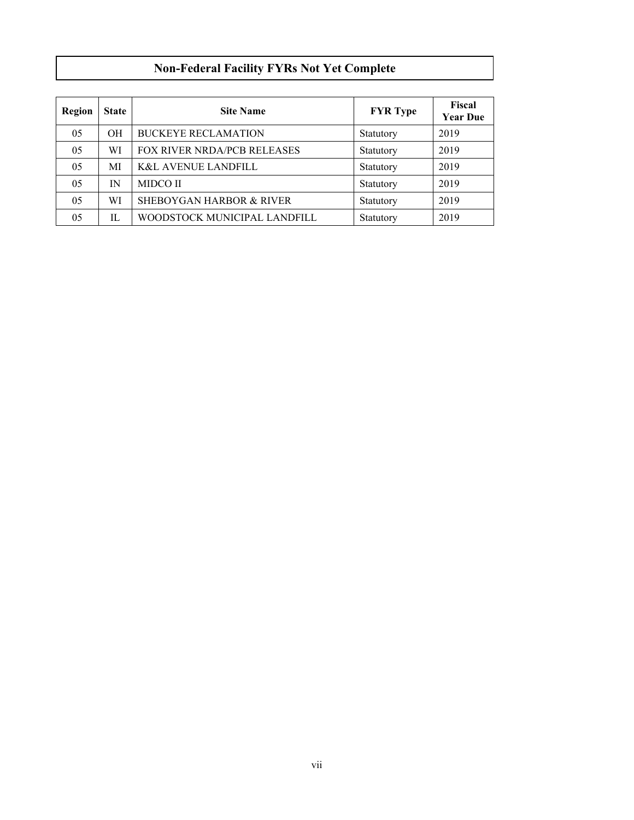# **Non-Federal Facility FYRs Not Yet Complete**

| Region | <b>State</b> | <b>Site Name</b>                    | <b>FYR</b> Type | Fiscal<br><b>Year Due</b> |
|--------|--------------|-------------------------------------|-----------------|---------------------------|
| 05     | <b>OH</b>    | <b>BUCKEYE RECLAMATION</b>          | Statutory       | 2019                      |
| 05     | WI           | <b>FOX RIVER NRDA/PCB RELEASES</b>  | Statutory       | 2019                      |
| 05     | MI           | <b>K&amp;L AVENUE LANDFILL</b>      | Statutory       | 2019                      |
| 05     | IN           | <b>MIDCO II</b>                     | Statutory       | 2019                      |
| 05     | WI           | <b>SHEBOYGAN HARBOR &amp; RIVER</b> | Statutory       | 2019                      |
| 05     | IL           | WOODSTOCK MUNICIPAL LANDFILL        | Statutory       | 2019                      |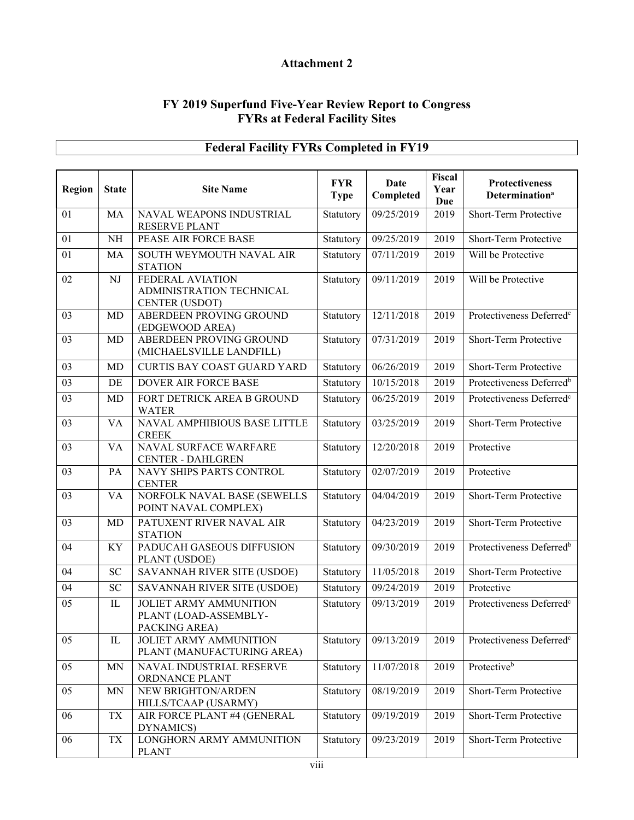# **Attachment 2**

#### **FY 2019 Superfund Five-Year Review Report to Congress FYRs at Federal Facility Sites**

| <b>Region</b> | <b>State</b> | <b>Site Name</b>                                                        | <b>FYR</b><br><b>Type</b> | Date<br>Completed | Fiscal<br>Year<br>Due | <b>Protectiveness</b><br><b>Determination</b> <sup>a</sup> |
|---------------|--------------|-------------------------------------------------------------------------|---------------------------|-------------------|-----------------------|------------------------------------------------------------|
| 01            | MA           | NAVAL WEAPONS INDUSTRIAL<br>RESERVE PLANT                               | Statutory                 | 09/25/2019        | 2019                  | Short-Term Protective                                      |
| 01            | NH           | PEASE AIR FORCE BASE                                                    | Statutory                 | 09/25/2019        | 2019                  | Short-Term Protective                                      |
| 01            | MA           | SOUTH WEYMOUTH NAVAL AIR<br><b>STATION</b>                              | Statutory                 | 07/11/2019        | 2019                  | Will be Protective                                         |
| 02            | NJ           | FEDERAL AVIATION<br>ADMINISTRATION TECHNICAL<br><b>CENTER (USDOT)</b>   | Statutory                 | 09/11/2019        | 2019                  | Will be Protective                                         |
| 03            | MD           | ABERDEEN PROVING GROUND<br>(EDGEWOOD AREA)                              | Statutory                 | 12/11/2018        | 2019                  | Protectiveness Deferred <sup>c</sup>                       |
| 03            | MD           | ABERDEEN PROVING GROUND<br>(MICHAELSVILLE LANDFILL)                     | Statutory                 | 07/31/2019        | 2019                  | Short-Term Protective                                      |
| 03            | MD           | <b>CURTIS BAY COAST GUARD YARD</b>                                      | Statutory                 | 06/26/2019        | 2019                  | Short-Term Protective                                      |
| 03            | DE           | DOVER AIR FORCE BASE                                                    | Statutory                 | 10/15/2018        | 2019                  | Protectiveness Deferred <sup>b</sup>                       |
| 03            | MD           | FORT DETRICK AREA B GROUND<br><b>WATER</b>                              | Statutory                 | 06/25/2019        | 2019                  | Protectiveness Deferred <sup>c</sup>                       |
| 03            | <b>VA</b>    | NAVAL AMPHIBIOUS BASE LITTLE<br><b>CREEK</b>                            | Statutory                 | 03/25/2019        | 2019                  | Short-Term Protective                                      |
| 03            | <b>VA</b>    | NAVAL SURFACE WARFARE<br><b>CENTER - DAHLGREN</b>                       | Statutory                 | 12/20/2018        | 2019                  | Protective                                                 |
| 03            | PA           | NAVY SHIPS PARTS CONTROL<br><b>CENTER</b>                               | Statutory                 | 02/07/2019        | 2019                  | Protective                                                 |
| 03            | <b>VA</b>    | NORFOLK NAVAL BASE (SEWELLS<br>POINT NAVAL COMPLEX)                     | Statutory                 | 04/04/2019        | 2019                  | Short-Term Protective                                      |
| 03            | MD           | PATUXENT RIVER NAVAL AIR<br><b>STATION</b>                              | Statutory                 | 04/23/2019        | 2019                  | Short-Term Protective                                      |
| 04            | <b>KY</b>    | PADUCAH GASEOUS DIFFUSION<br>PLANT (USDOE)                              | Statutory                 | 09/30/2019        | 2019                  | Protectiveness Deferred <sup>b</sup>                       |
| 04            | <b>SC</b>    | SAVANNAH RIVER SITE (USDOE)                                             | Statutory                 | 11/05/2018        | 2019                  | Short-Term Protective                                      |
| 04            | <b>SC</b>    | <b>SAVANNAH RIVER SITE (USDOE)</b>                                      | Statutory                 | 09/24/2019        | 2019                  | Protective                                                 |
| 05            | IL           | <b>JOLIET ARMY AMMUNITION</b><br>PLANT (LOAD-ASSEMBLY-<br>PACKING AREA) | Statutory                 | 09/13/2019        | 2019                  | Protectiveness Deferred <sup>c</sup>                       |
| 05            | IL           | JOLIET ARMY AMMUNITION<br>PLANT (MANUFACTURING AREA)                    | Statutory                 | 09/13/2019        | 2019                  | Protectiveness Deferred <sup>c</sup>                       |
| 05            | <b>MN</b>    | NAVAL INDUSTRIAL RESERVE<br>ORDNANCE PLANT                              | Statutory                 | 11/07/2018        | 2019                  | Protectiveb                                                |
| 05            | MN           | NEW BRIGHTON/ARDEN<br>HILLS/TCAAP (USARMY)                              | Statutory                 | 08/19/2019        | 2019                  | Short-Term Protective                                      |
| 06            | TX           | AIR FORCE PLANT #4 (GENERAL<br>DYNAMICS)                                | Statutory                 | 09/19/2019        | 2019                  | Short-Term Protective                                      |
| 06            | TX           | LONGHORN ARMY AMMUNITION<br><b>PLANT</b>                                | Statutory                 | 09/23/2019        | 2019                  | Short-Term Protective                                      |

# **Federal Facility FYRs Completed in FY19**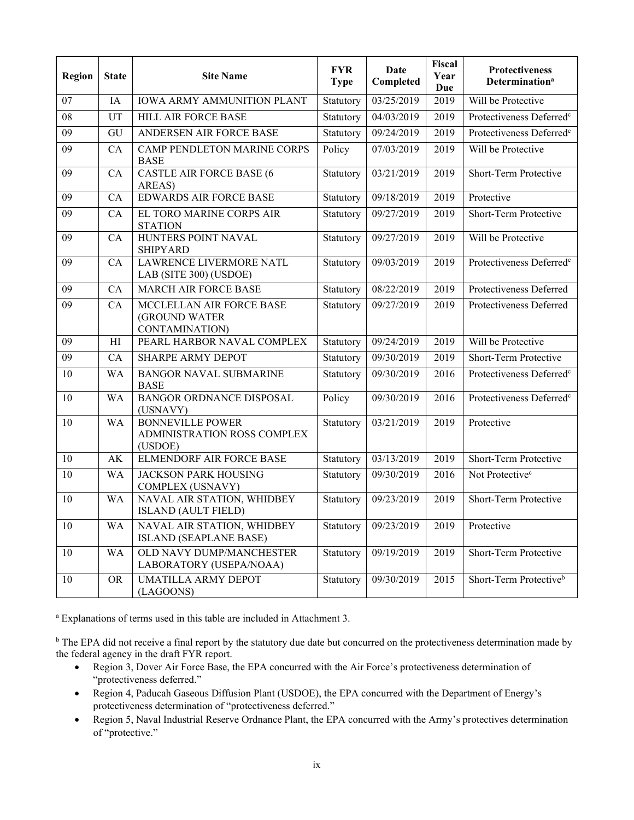| <b>Region</b>   | <b>State</b>   | <b>Site Name</b>                                                  | <b>FYR</b><br><b>Type</b> | Date<br>Completed | Fiscal<br>Year<br>Due | Protectiveness<br>Determination <sup>a</sup> |
|-----------------|----------------|-------------------------------------------------------------------|---------------------------|-------------------|-----------------------|----------------------------------------------|
| 07              | IA             | <b>IOWA ARMY AMMUNITION PLANT</b>                                 | Statutory                 | 03/25/2019        | 2019                  | Will be Protective                           |
| $\overline{08}$ | UT             | <b>HILL AIR FORCE BASE</b>                                        | Statutory                 | 04/03/2019        | 2019                  | Protectiveness Deferred <sup>c</sup>         |
| 09              | GU             | ANDERSEN AIR FORCE BASE                                           | Statutory                 | 09/24/2019        | 2019                  | Protectiveness Deferred <sup>c</sup>         |
| 09              | CA             | CAMP PENDLETON MARINE CORPS<br><b>BASE</b>                        | Policy                    | 07/03/2019        | 2019                  | Will be Protective                           |
| 09              | CA             | <b>CASTLE AIR FORCE BASE (6</b><br>AREAS)                         | Statutory                 | 03/21/2019        | 2019                  | Short-Term Protective                        |
| 09              | CA             | <b>EDWARDS AIR FORCE BASE</b>                                     | Statutory                 | 09/18/2019        | 2019                  | Protective                                   |
| 09              | CA             | EL TORO MARINE CORPS AIR<br><b>STATION</b>                        | Statutory                 | 09/27/2019        | 2019                  | Short-Term Protective                        |
| 09              | CA             | HUNTERS POINT NAVAL<br><b>SHIPYARD</b>                            | Statutory                 | 09/27/2019        | 2019                  | Will be Protective                           |
| 09              | CA             | LAWRENCE LIVERMORE NATL<br>LAB (SITE 300) (USDOE)                 | Statutory                 | 09/03/2019        | 2019                  | Protectiveness Deferred <sup>c</sup>         |
| 09              | CA             | MARCH AIR FORCE BASE                                              | Statutory                 | 08/22/2019        | 2019                  | Protectiveness Deferred                      |
| 09              | CA             | MCCLELLAN AIR FORCE BASE<br>(GROUND WATER<br>CONTAMINATION)       | Statutory                 | 09/27/2019        | 2019                  | Protectiveness Deferred                      |
| 09              | H <sub>I</sub> | PEARL HARBOR NAVAL COMPLEX                                        | Statutory                 | 09/24/2019        | 2019                  | Will be Protective                           |
| 09              | CA             | <b>SHARPE ARMY DEPOT</b>                                          | Statutory                 | 09/30/2019        | 2019                  | Short-Term Protective                        |
| 10              | <b>WA</b>      | <b>BANGOR NAVAL SUBMARINE</b><br><b>BASE</b>                      | Statutory                 | 09/30/2019        | 2016                  | Protectiveness Deferred <sup>c</sup>         |
| 10              | <b>WA</b>      | BANGOR ORDNANCE DISPOSAL<br>(USNAVY)                              | Policy                    | 09/30/2019        | 2016                  | Protectiveness Deferred <sup>c</sup>         |
| 10              | <b>WA</b>      | <b>BONNEVILLE POWER</b><br>ADMINISTRATION ROSS COMPLEX<br>(USDOE) | Statutory                 | 03/21/2019        | 2019                  | Protective                                   |
| 10              | AK             | ELMENDORF AIR FORCE BASE                                          | Statutory                 | 03/13/2019        | 2019                  | Short-Term Protective                        |
| 10              | <b>WA</b>      | <b>JACKSON PARK HOUSING</b><br><b>COMPLEX (USNAVY)</b>            | Statutory                 | 09/30/2019        | 2016                  | Not Protective <sup>c</sup>                  |
| 10              | <b>WA</b>      | NAVAL AIR STATION, WHIDBEY<br><b>ISLAND (AULT FIELD)</b>          | Statutory                 | 09/23/2019        | 2019                  | Short-Term Protective                        |
| 10              | <b>WA</b>      | NAVAL AIR STATION, WHIDBEY<br><b>ISLAND (SEAPLANE BASE)</b>       | Statutory                 | 09/23/2019        | 2019                  | Protective                                   |
| 10              | <b>WA</b>      | OLD NAVY DUMP/MANCHESTER<br>LABORATORY (USEPA/NOAA)               | Statutory                 | 09/19/2019        | 2019                  | Short-Term Protective                        |
| 10              | <b>OR</b>      | <b>UMATILLA ARMY DEPOT</b><br>(LAGOONS)                           | Statutory                 | 09/30/2019        | 2015                  | Short-Term Protective <sup>b</sup>           |

a Explanations of terms used in this table are included in Attachment 3.

<sup>b</sup> The EPA did not receive a final report by the statutory due date but concurred on the protectiveness determination made by the federal agency in the draft FYR report.

- Region 3, Dover Air Force Base, the EPA concurred with the Air Force's protectiveness determination of "protectiveness deferred."
- Region 4, Paducah Gaseous Diffusion Plant (USDOE), the EPA concurred with the Department of Energy's protectiveness determination of "protectiveness deferred."
- Region 5, Naval Industrial Reserve Ordnance Plant, the EPA concurred with the Army's protectives determination of "protective."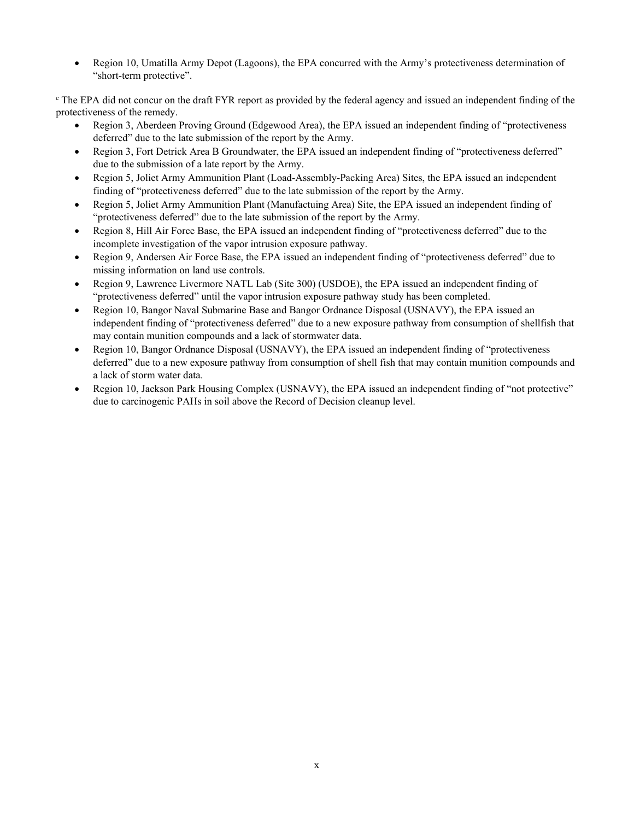• Region 10, Umatilla Army Depot (Lagoons), the EPA concurred with the Army's protectiveness determination of "short-term protective".

<sup>c</sup> The EPA did not concur on the draft FYR report as provided by the federal agency and issued an independent finding of the protectiveness of the remedy.

- Region 3, Aberdeen Proving Ground (Edgewood Area), the EPA issued an independent finding of "protectiveness deferred" due to the late submission of the report by the Army.
- Region 3, Fort Detrick Area B Groundwater, the EPA issued an independent finding of "protectiveness deferred" due to the submission of a late report by the Army.
- Region 5, Joliet Army Ammunition Plant (Load-Assembly-Packing Area) Sites, the EPA issued an independent finding of "protectiveness deferred" due to the late submission of the report by the Army.
- Region 5, Joliet Army Ammunition Plant (Manufactuing Area) Site, the EPA issued an independent finding of "protectiveness deferred" due to the late submission of the report by the Army.
- Region 8, Hill Air Force Base, the EPA issued an independent finding of "protectiveness deferred" due to the incomplete investigation of the vapor intrusion exposure pathway.
- Region 9, Andersen Air Force Base, the EPA issued an independent finding of "protectiveness deferred" due to missing information on land use controls.
- Region 9, Lawrence Livermore NATL Lab (Site 300) (USDOE), the EPA issued an independent finding of "protectiveness deferred" until the vapor intrusion exposure pathway study has been completed.
- Region 10, Bangor Naval Submarine Base and Bangor Ordnance Disposal (USNAVY), the EPA issued an independent finding of "protectiveness deferred" due to a new exposure pathway from consumption of shellfish that may contain munition compounds and a lack of stormwater data.
- Region 10, Bangor Ordnance Disposal (USNAVY), the EPA issued an independent finding of "protectiveness deferred" due to a new exposure pathway from consumption of shell fish that may contain munition compounds and a lack of storm water data.
- Region 10, Jackson Park Housing Complex (USNAVY), the EPA issued an independent finding of "not protective" due to carcinogenic PAHs in soil above the Record of Decision cleanup level.